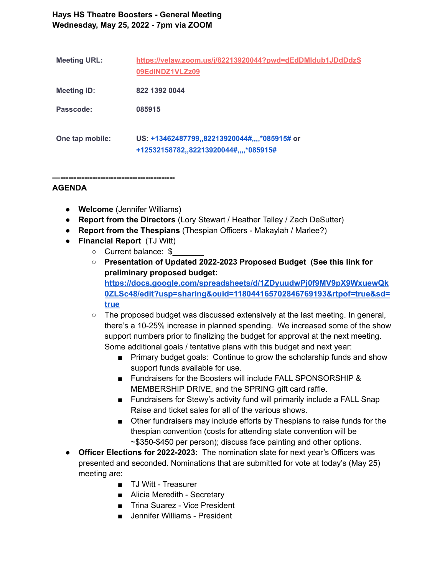## **Hays HS Theatre Boosters - General Meeting Wednesday, May 25, 2022 - 7pm via ZOOM**

| <b>Meeting URL:</b> | https://velaw.zoom.us/j/82213920044?pwd=dEdDMldub1JDdDdzS<br>09EdINDZ1VLZz09            |
|---------------------|-----------------------------------------------------------------------------------------|
| <b>Meeting ID:</b>  | 822 1392 0044                                                                           |
| Passcode:           | 085915                                                                                  |
| One tap mobile:     | US: +13462487799,,82213920044#,,,,*085915# or<br>+12532158782,,82213920044#,,,,*085915# |

**—-------------------------------------------**

## **AGENDA**

- **Welcome** (Jennifer Williams)
- **Report from the Directors** (Lory Stewart / Heather Talley / Zach DeSutter)
- **Report from the Thespians** (Thespian Officers Makaylah / Marlee?)
- **Financial Report** (TJ Witt)
	- o Current balance: \$
	- **○ Presentation of Updated 2022-2023 Proposed Budget (See this link for preliminary proposed budget: [https://docs.google.com/spreadsheets/d/1ZDyuudwPj0f9MV9pX9WxuewQk](https://docs.google.com/spreadsheets/d/1ZDyuudwPj0f9MV9pX9WxuewQk0ZLSc48/edit?usp=sharing&ouid=118044165702846769193&rtpof=true&sd=true) [0ZLSc48/edit?usp=sharing&ouid=118044165702846769193&rtpof=true&sd=](https://docs.google.com/spreadsheets/d/1ZDyuudwPj0f9MV9pX9WxuewQk0ZLSc48/edit?usp=sharing&ouid=118044165702846769193&rtpof=true&sd=true) [true](https://docs.google.com/spreadsheets/d/1ZDyuudwPj0f9MV9pX9WxuewQk0ZLSc48/edit?usp=sharing&ouid=118044165702846769193&rtpof=true&sd=true)**
	- **○** The proposed budget was discussed extensively at the last meeting. In general, there's a 10-25% increase in planned spending. We increased some of the show support numbers prior to finalizing the budget for approval at the next meeting. Some additional goals / tentative plans with this budget and next year:
		- Primary budget goals: Continue to grow the scholarship funds and show support funds available for use.
		- Fundraisers for the Boosters will include FALL SPONSORSHIP & MEMBERSHIP DRIVE, and the SPRING gift card raffle.
		- Fundraisers for Stewy's activity fund will primarily include a FALL Snap Raise and ticket sales for all of the various shows.
		- Other fundraisers may include efforts by Thespians to raise funds for the thespian convention (costs for attending state convention will be ~\$350-\$450 per person); discuss face painting and other options.
- **Officer Elections for 2022-2023:** The nomination slate for next year's Officers was presented and seconded. Nominations that are submitted for vote at today's (May 25) meeting are:
	- TJ Witt Treasurer
	- Alicia Meredith Secretary
	- Trina Suarez Vice President
	- Jennifer Williams President